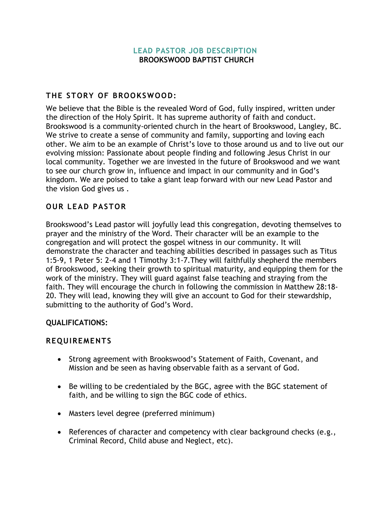#### **[LEAD PASTOR JOB DESCRIPTION](https://www.auburndalebaptist.com/s/ABC-Senior-Pastor-Job-Description.pdf) BROOKSWOOD BAPTIST CHURCH**

#### **THE STORY OF BROOKSWOOD:**

We believe that the Bible is the revealed Word of God, fully inspired, written under the direction of the Holy Spirit. It has supreme authority of faith and conduct. Brookswood is a community-oriented church in the heart of Brookswood, Langley, BC. We strive to create a sense of community and family, supporting and loving each other. We aim to be an example of Christ's love to those around us and to live out our evolving mission: Passionate about people finding and following Jesus Christ in our local community. Together we are invested in the future of Brookswood and we want to see our church grow in, influence and impact in our community and in God's kingdom. We are poised to take a giant leap forward with our new Lead Pastor and the vision God gives us .

# **OUR LEAD PASTOR**

Brookswood's Lead pastor will joyfully lead this congregation, devoting themselves to prayer and the ministry of the Word. Their character will be an example to the congregation and will protect the gospel witness in our community. It will demonstrate the character and teaching abilities described in passages such as Titus 1:5-9, 1 Peter 5: 2-4 and 1 Timothy 3:1-7.They will faithfully shepherd the members of Brookswood, seeking their growth to spiritual maturity, and equipping them for the work of the ministry. They will guard against false teaching and straying from the faith. They will encourage the church in following the commission in Matthew 28:18- 20. They will lead, knowing they will give an account to God for their stewardship, submitting to the authority of God's Word.

#### **QUALIFICATIONS:**

#### **REQUIREMENTS**

- Strong agreement with Brookswood's Statement of Faith, Covenant, and Mission and be seen as having observable faith as a servant of God.
- Be willing to be credentialed by the BGC, agree with the BGC statement of faith, and be willing to sign the BGC code of ethics.
- Masters level degree (preferred minimum)
- References of character and competency with clear background checks (e.g., Criminal Record, Child abuse and Neglect, etc).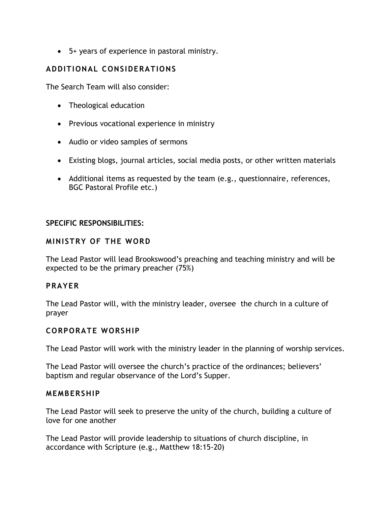• 5+ years of experience in pastoral ministry.

# **ADDITIONAL CONSIDERATIONS**

The Search Team will also consider:

- Theological education
- Previous vocational experience in ministry
- Audio or video samples of sermons
- Existing blogs, journal articles, social media posts, or other written materials
- Additional items as requested by the team (e.g., questionnaire, references, BGC Pastoral Profile etc.)

#### **SPECIFIC RESPONSIBILITIES:**

## **MINISTRY OF THE WORD**

The Lead Pastor will lead Brookswood's preaching and teaching ministry and will be expected to be the primary preacher (75%)

# **PRAYER**

The Lead Pastor will, with the ministry leader, oversee the church in a culture of prayer

#### **CORPORATE WORSHIP**

The Lead Pastor will work with the ministry leader in the planning of worship services.

The Lead Pastor will oversee the church's practice of the ordinances; believers' baptism and regular observance of the Lord's Supper.

#### **MEMBERSHIP**

The Lead Pastor will seek to preserve the unity of the church, building a culture of love for one another

The Lead Pastor will provide leadership to situations of church discipline, in accordance with Scripture (e.g., Matthew 18:15-20)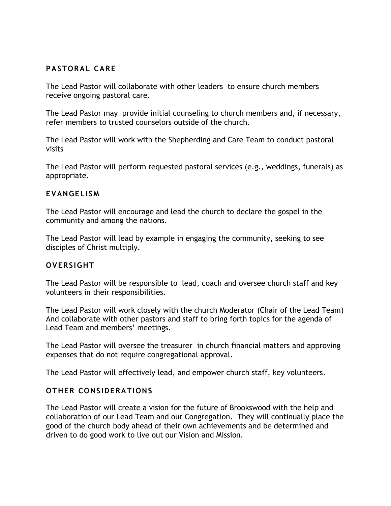# **PASTORAL CARE**

The Lead Pastor will collaborate with other leaders to ensure church members receive ongoing pastoral care.

The Lead Pastor may provide initial counseling to church members and, if necessary, refer members to trusted counselors outside of the church.

The Lead Pastor will work with the Shepherding and Care Team to conduct pastoral visits

The Lead Pastor will perform requested pastoral services (e.g., weddings, funerals) as appropriate.

## **EVANGELISM**

The Lead Pastor will encourage and lead the church to declare the gospel in the community and among the nations.

The Lead Pastor will lead by example in engaging the community, seeking to see disciples of Christ multiply.

# **OVERSIGHT**

The Lead Pastor will be responsible to lead, coach and oversee church staff and key volunteers in their responsibilities.

The Lead Pastor will work closely with the church Moderator (Chair of the Lead Team) And collaborate with other pastors and staff to bring forth topics for the agenda of Lead Team and members' meetings.

The Lead Pastor will oversee the treasurer in church financial matters and approving expenses that do not require congregational approval.

The Lead Pastor will effectively lead, and empower church staff, key volunteers.

# **OTHER CONSIDERATIONS**

The Lead Pastor will create a vision for the future of Brookswood with the help and collaboration of our Lead Team and our Congregation. They will continually place the good of the church body ahead of their own achievements and be determined and driven to do good work to live out our Vision and Mission.